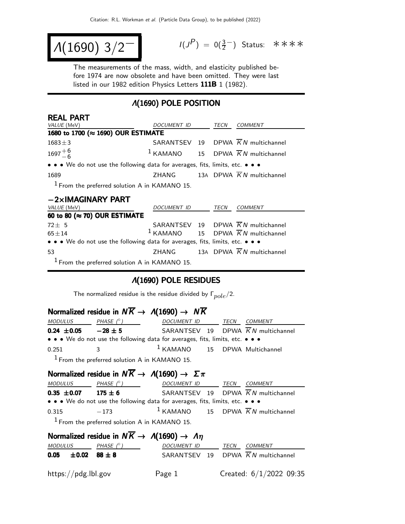$$
\Lambda(1690) 3/2^{-1}
$$

 $(P) = 0(\frac{3}{2}^-)$  Status: \*\*\*\*

The measurements of the mass, width, and elasticity published before 1974 are now obsolete and have been omitted. They were last listed in our 1982 edition Physics Letters 111B 1 (1982).

## Λ(1690) POLE POSITION

| <b>REAL PART</b>                                                              |                    |  |             |                                                          |  |  |  |
|-------------------------------------------------------------------------------|--------------------|--|-------------|----------------------------------------------------------|--|--|--|
| <i>VALUE</i> (MeV)                                                            | DOCUMENT ID TECN   |  |             | COMMENT                                                  |  |  |  |
| 1680 to 1700 (≈ 1690) OUR ESTIMATE                                            |                    |  |             |                                                          |  |  |  |
| $1683 \pm 3$                                                                  |                    |  |             | SARANTSEV 19 DPWA $\overline{K}N$ multichannel           |  |  |  |
| $1697^{+6}_{-6}$                                                              |                    |  |             | <sup>1</sup> KAMANO 15 DPWA $\overline{K}N$ multichannel |  |  |  |
| • • • We do not use the following data for averages, fits, limits, etc. • • • |                    |  |             |                                                          |  |  |  |
| 1689                                                                          |                    |  |             | ZHANG 13A DPWA $\overline{K}N$ multichannel              |  |  |  |
| $1$ From the preferred solution A in KAMANO 15.                               |                    |  |             |                                                          |  |  |  |
| $-2\times$ IMAGINARY PART                                                     |                    |  |             |                                                          |  |  |  |
| VALUE (MeV)                                                                   | <i>DOCUMENT ID</i> |  | <b>TECN</b> | COMMENT                                                  |  |  |  |

| <i>VALUE</i> (MeV)                                                            | DOCUMENT ID TECN |  | <i>COMMENT</i>                                  |
|-------------------------------------------------------------------------------|------------------|--|-------------------------------------------------|
| 60 to 80 ( $\approx$ 70) OUR ESTIMATE                                         |                  |  |                                                 |
| $72 \pm 5$                                                                    |                  |  | SARANTSEV 19 DPWA $\overline{K}N$ multichannel  |
| $65 + 14$                                                                     |                  |  | $1$ KAMANO 15 DPWA $\overline{K}N$ multichannel |
| • • • We do not use the following data for averages, fits, limits, etc. • • • |                  |  |                                                 |
| 53                                                                            |                  |  | ZHANG 13A DPWA $\overline{K}N$ multichannel     |
| $1$ From the preferred solution A in KAMANO 15.                               |                  |  |                                                 |

#### Λ(1690) POLE RESIDUES

The normalized residue is the residue divided by  $\Gamma_{pole}/2$ .

# Normalized residue in  $N \overline{K} \rightarrow A(1690) \rightarrow N \overline{K}$

| MODULUS         | PHASE $(^\circ)$                                 | DOCUMENT ID TECN                                                              | <i>COMMENT</i>                                 |
|-----------------|--------------------------------------------------|-------------------------------------------------------------------------------|------------------------------------------------|
| $0.24 \pm 0.05$ | $-28 \pm 5$                                      |                                                                               | SARANTSEV 19 DPWA $\overline{K}N$ multichannel |
|                 |                                                  | • • • We do not use the following data for averages, fits, limits, etc. • • • |                                                |
| 0.251           | $\mathbf{R}$                                     | $1$ KAMANO $15$ DPWA Multichannel                                             |                                                |
|                 | $1$ From the nucleused colution A in ICAMANIO 1E |                                                                               |                                                |

From the preferred solution A in KAMANO 15.

# Normalized residue in  $N\overline{K} \rightarrow A(1690) \rightarrow \Sigma \pi$

| <i>MODULUS</i>                                                                | PHASE $(^\circ)$                                | DOCUMENT ID                                     | TECN | COMMENT |  |  |
|-------------------------------------------------------------------------------|-------------------------------------------------|-------------------------------------------------|------|---------|--|--|
| $0.35 \pm 0.07$                                                               | $175 \pm 6$                                     | SARANTSEV 19 DPWA KN multichannel               |      |         |  |  |
| • • • We do not use the following data for averages, fits, limits, etc. • • • |                                                 |                                                 |      |         |  |  |
| 0.315                                                                         | $-173$                                          | $1$ KAMANO 15 DPWA $\overline{K}N$ multichannel |      |         |  |  |
|                                                                               | $1$ From the preferred solution A in KAMANO 15. |                                                 |      |         |  |  |

| Normalized residue in $N\overline{K} \rightarrow A(1690) \rightarrow A\eta$ |                                |            |             |  |      |                                                |
|-----------------------------------------------------------------------------|--------------------------------|------------|-------------|--|------|------------------------------------------------|
| MODULUS                                                                     |                                | PHASE (° ) | DOCUMENT ID |  | TECN | <i>COMMENT</i>                                 |
|                                                                             | $0.05 \pm 0.02 \quad 88 \pm 8$ |            |             |  |      | SARANTSEV 19 DPWA $\overline{K}N$ multichannel |
|                                                                             | https://pdg.lbl.gov            |            | Page 1      |  |      | Created: $6/1/2022$ 09:35                      |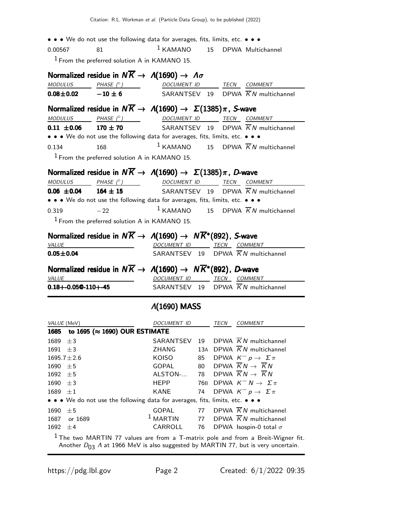• • • We do not use the following data for averages, fits, limits, etc. • • • 0.00567 81 1 KAMANO 15 DPWA Multichannel  $<sup>1</sup>$  From the preferred solution A in KAMANO 15.</sup> Normalized residue in  $N\overline{K} \rightarrow A(1690) \rightarrow A\sigma$ MODULUS PHASE  $(°)$  DOCUMENT ID TECN COMMENT  $0.08\pm0.02$   $-10\pm6$  SARANTSEV 19 DPWA  $\overline{K}N$  multichannel Normalized residue in  $N\overline{K} \rightarrow A(1690) \rightarrow \Sigma(1385)\pi$ , S-wave<br>MODULUS PHASE (°) DOCUMENT ID TECN CON DOCUMENT ID TECN COMMENT **0.11**  $\pm$ **0.06** 170  $\pm$  70 SARANTSEV 19 DPWA  $\overline{K}N$  multichannel • • • We do not use the following data for averages, fits, limits, etc. • • • 0.134 168 1 KAMANO 15 DPWA  $\overline{K}N$  multichannel  $<sup>1</sup>$  From the preferred solution A in KAMANO 15.</sup> **Normalized residue in**  $N\overline{K} \rightarrow A(1690) \rightarrow \Sigma(1385)\pi$ **, D-wave**<br>MODULUS PHASE (°) DOCUMENT ID TECN COM TECN COMMENT **0.06**  $\pm$ **0.04** 164  $\pm$  15 SARANTSEV 19 DPWA  $\overline{K}N$  multichannel • • • We do not use the following data for averages, fits, limits, etc. • • • 0.319  $-22$  1 KAMANO 15 DPWA  $\overline{K}N$  multichannel  $<sup>1</sup>$  From the preferred solution A in KAMANO 15.</sup> Normalized residue in  $N\overline{K} \rightarrow A(1690) \rightarrow N\overline{K}$ \*(892), S-wave VALUE **DOCUMENT ID** TECN COMMENT  $0.05 \pm 0.04$  SARANTSEV 19 DPWA  $\overline{K}N$  multichannel Normalized residue in  $N\overline{K} \to A(1690) \to N\overline{K}^*(892)$ , D-wave VALUE DOCUMENT ID TECN COMMENT  $0.18 + -0.05@ - 110 + -45$  SARANTSEV 19 DPWA  $\overline{K}N$  multichannel Λ(1690) MASS VALUE (MeV) **DOCUMENT ID** TECN COMMENT

|                                                                               | 1685 to 1695 (≈ 1690) OUR ESTIMATE |       |    |                                                           |  |  |  |
|-------------------------------------------------------------------------------|------------------------------------|-------|----|-----------------------------------------------------------|--|--|--|
| 1689 $\pm 3$                                                                  |                                    |       |    | SARANTSEV 19 DPWA $\overline{K}N$ multichannel            |  |  |  |
| 1691 $\pm 3$                                                                  |                                    | ZHANG |    | 13A DPWA K N multichannel                                 |  |  |  |
| $1695.7 \pm 2.6$                                                              |                                    | KOISO | 85 | DPWA $K^- p \to \Sigma \pi$                               |  |  |  |
| $1690 \pm 5$                                                                  |                                    | GOPAL |    | 80 DPWA $\overline{K}N\rightarrow \overline{K}N$          |  |  |  |
| $1692 \pm 5$                                                                  |                                    |       |    | ALSTON- 78 DPWA $\overline{K}N \rightarrow \overline{K}N$ |  |  |  |
| $1690 \pm 3$                                                                  |                                    | HEPP  |    | 76B DPWA $K^- N \rightarrow \Sigma \pi$                   |  |  |  |
| $1689 \pm 1$                                                                  |                                    |       |    | KANE 74 DPWA $K^- p \rightarrow \Sigma \pi$               |  |  |  |
| • • • We do not use the following data for averages, fits, limits, etc. • • • |                                    |       |    |                                                           |  |  |  |
| $1690 \pm 5$                                                                  |                                    | GOPAL |    | 77 DPWA $\overline{K}N$ multichannel                      |  |  |  |
|                                                                               | 1687 or 1689                       |       |    | <sup>1</sup> MARTIN 77 DPWA $\overline{K}N$ multichannel  |  |  |  |
| 1692 $\pm 4$                                                                  |                                    |       |    | CARROLL 76 DPWA Isospin-0 total $\sigma$                  |  |  |  |
|                                                                               | $1 \pm 1$ $11 \pm 11$              |       |    |                                                           |  |  |  |

 $<sup>1</sup>$  The two MARTIN 77 values are from a T-matrix pole and from a Breit-Wigner fit.</sup> Another  $D_{03}$  A at 1966 MeV is also suggested by MARTIN 77, but is very uncertain.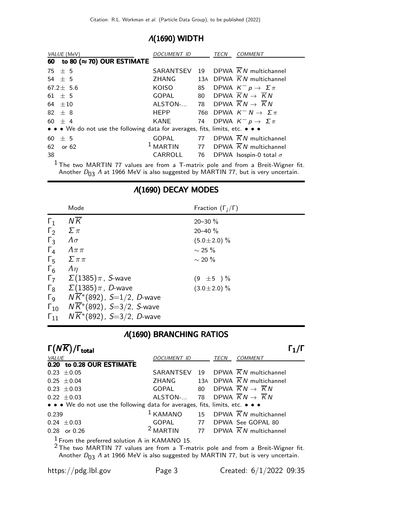## Λ(1690) WIDTH

| VALUE (MeV)                                                                   | DOCUMENT ID         |    | TECN | <b>COMMENT</b>                                    |
|-------------------------------------------------------------------------------|---------------------|----|------|---------------------------------------------------|
| to 80 ( $\approx$ 70) OUR ESTIMATE<br>60                                      |                     |    |      |                                                   |
| 75 $\pm$ 5                                                                    | SARANTSEV           |    |      | 19 DPWA KN multichannel                           |
| 54 $\pm$ 5                                                                    | ZHANG               |    |      | 13A DPWA K N multichannel                         |
| $67.2 \pm 5.6$                                                                | KOISO               | 85 |      | DPWA $K^- p \to \Sigma \pi$                       |
| $61 + 5$                                                                      | GOPAL               |    |      | 80 DPWA $\overline{K}N \rightarrow \overline{K}N$ |
| 64 $\pm 10$                                                                   | ALSTON-             |    |      | 78 DPWA $\overline{K}N \rightarrow \overline{K}N$ |
| $82 + 8$                                                                      | <b>HEPP</b>         |    |      | 76B DPWA $K^- N \rightarrow \Sigma \pi$           |
| $60 + 4$                                                                      | KANE                |    |      | 74 DPWA $K^- p \rightarrow \Sigma \pi$            |
| • • • We do not use the following data for averages, fits, limits, etc. • • • |                     |    |      |                                                   |
| ± 5<br>60                                                                     | <b>GOPAL</b>        |    |      | 77 DPWA $\overline{K}N$ multichannel              |
| 62<br>or 62                                                                   | <sup>1</sup> MARTIN |    |      | 77 DPWA $\overline{K}N$ multichannel              |
| 38                                                                            | CARROLL             |    |      | 76 DPWA Isospin-0 total $\sigma$                  |

 $1$  The two MARTIN 77 values are from a T-matrix pole and from a Breit-Wigner fit. Another  $D_{03}$  A at 1966 MeV is also suggested by MARTIN 77, but is very uncertain.

### Λ(1690) DECAY MODES

|                       | Mode                                                 | Fraction $(\Gamma_i/\Gamma)$ |
|-----------------------|------------------------------------------------------|------------------------------|
| $\Gamma_1$            | $N\overline{K}$                                      | $20 - 30 \%$                 |
| $\Gamma_2$            | $\Sigma \pi$                                         | $20 - 40 \%$                 |
| $\Gamma_3$            | $\Lambda \sigma$                                     | $(5.0 \pm 2.0)$ %            |
| $\Gamma_4$            | $\Lambda \pi \pi$                                    | $\sim$ 25 %                  |
| $\Gamma_{5}$          | $\sum \pi \pi$                                       | $\sim$ 20 %                  |
| $\Gamma_6$            | $\Lambda$                                            |                              |
|                       | $\Gamma$ <sub>7</sub> $\Sigma$ (1385) $\pi$ , S-wave | $(9 \pm 5) \%$               |
| $\Gamma_8$            | $\Sigma(1385)\pi$ , $D$ -wave                        | $(3.0 \pm 2.0)$ %            |
| $\Gamma$ <sub>9</sub> | $N\overline{K}^*(892)$ , S=1/2, D-wave               |                              |
| $\Gamma_{10}$         | $N\overline{K}$ *(892), S=3/2, S-wave                |                              |
| $\Gamma_{11}$         | $NK*(892)$ , S=3/2, D-wave                           |                              |

### Λ(1690) BRANCHING RATIOS

| $\Gamma(N\overline{K})/\Gamma_{\rm total}$                                                                                                                                                                                               |                    |      |                                                          |
|------------------------------------------------------------------------------------------------------------------------------------------------------------------------------------------------------------------------------------------|--------------------|------|----------------------------------------------------------|
| VALUE                                                                                                                                                                                                                                    | <b>DOCUMENT ID</b> | TECN | <b>COMMENT</b>                                           |
| 0.20 to 0.28 OUR ESTIMATE                                                                                                                                                                                                                |                    |      |                                                          |
| $0.23 \pm 0.05$                                                                                                                                                                                                                          | SARANTSEV          |      | 19 DPWA $\overline{K}N$ multichannel                     |
| $0.25 + 0.04$                                                                                                                                                                                                                            | ZHANG              |      | 13A DPWA $\overline{K}N$ multichannel                    |
| $0.23 + 0.03$                                                                                                                                                                                                                            | GOPAL              |      | 80 DPWA $\overline{K}N \rightarrow \overline{K}N$        |
| $0.22 + 0.03$                                                                                                                                                                                                                            | ALSTON-            |      | 78 DPWA $\overline{K}N \rightarrow \overline{K}N$        |
| • • • We do not use the following data for averages, fits, limits, etc. • • •                                                                                                                                                            |                    |      |                                                          |
| 0.239                                                                                                                                                                                                                                    | $1$ KAMANO         |      | 15 DPWA $\overline{K}N$ multichannel                     |
| $0.24 \pm 0.03$                                                                                                                                                                                                                          |                    |      | GOPAL 77 DPWA See GOPAL 80                               |
| $0.28$ or $0.26$                                                                                                                                                                                                                         |                    |      | <sup>2</sup> MARTIN 77 DPWA $\overline{K}N$ multichannel |
| $\frac{1}{2}$ From the preferred solution A in KAMANO 15.<br>$2$ The two MARTIN 77 values are from a T-matrix pole and from a Breit-Wigner fit.<br>Another $D_{03}$ A at 1966 MeV is also suggested by MARTIN 77, but is very uncertain. |                    |      |                                                          |

https://pdg.lbl.gov Page 3 Created: 6/1/2022 09:35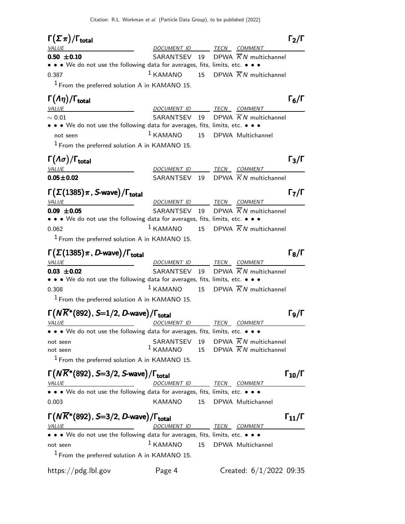| $\Gamma(\Sigma \pi)/\Gamma_{\rm total}$                                       |                          |    |      |                                                | $\Gamma_2/\Gamma$                     |
|-------------------------------------------------------------------------------|--------------------------|----|------|------------------------------------------------|---------------------------------------|
| <i>VALUE</i>                                                                  | DOCUMENT ID TECN COMMENT |    |      |                                                |                                       |
| $0.50 \pm 0.10$                                                               | SARANTSEV 19             |    |      | DPWA $\overline{K}N$ multichannel              |                                       |
| • • • We do not use the following data for averages, fits, limits, etc. • • • |                          |    |      |                                                |                                       |
| 0.387                                                                         | $1$ KAMANO               |    |      | 15 DPWA $\overline{K}N$ multichannel           |                                       |
| $1$ From the preferred solution A in KAMANO 15.                               |                          |    |      |                                                |                                       |
| $\Gamma(\Lambda \eta)/\Gamma_{\rm total}$                                     |                          |    |      |                                                | $\Gamma_6/\Gamma$                     |
| <b>VALUE</b>                                                                  | DOCUMENT ID TECN COMMENT |    |      |                                                |                                       |
| $\sim 0.01$                                                                   |                          |    |      | SARANTSEV 19 DPWA KN multichannel              |                                       |
| • • • We do not use the following data for averages, fits, limits, etc. • • • |                          |    |      |                                                |                                       |
| not seen                                                                      | $1$ KAMANO               | 15 |      | DPWA Multichannel                              |                                       |
| $1$ From the preferred solution A in KAMANO 15.                               |                          |    |      |                                                |                                       |
| $\Gamma(\Lambda\sigma)/\Gamma_{\rm total}$                                    |                          |    |      |                                                | $\Gamma_3/\Gamma$                     |
| <b>VALUE</b>                                                                  | DOCUMENT ID TECN COMMENT |    |      |                                                |                                       |
| $0.05 \pm 0.02$                                                               | SARANTSEV 19             |    |      | DPWA K N multichannel                          |                                       |
| $\Gamma(\Sigma(1385)\pi$ , S-wave)/ $\Gamma_{\text{total}}$                   |                          |    |      |                                                | $\Gamma_7/\Gamma$                     |
| <b>VALUE</b>                                                                  | DOCUMENT ID TECN COMMENT |    |      |                                                |                                       |
| $0.09 \pm 0.05$                                                               |                          |    |      | SARANTSEV 19 DPWA KN multichannel              |                                       |
| • • • We do not use the following data for averages, fits, limits, etc. • • • |                          |    |      |                                                |                                       |
| 0.062                                                                         | $1$ KAMANO               | 15 |      | DPWA $\overline{K}N$ multichannel              |                                       |
| $1$ From the preferred solution A in KAMANO 15.                               |                          |    |      |                                                |                                       |
|                                                                               |                          |    |      |                                                |                                       |
| $\Gamma(\Sigma(1385)\pi$ , D-wave)/ $\Gamma_{\rm total}$                      |                          |    |      |                                                | $\Gamma_8/\Gamma$                     |
| <b>VALUE</b>                                                                  | DOCUMENT ID TECN COMMENT |    |      |                                                |                                       |
| $0.03 \pm 0.02$                                                               |                          |    |      | SARANTSEV 19 DPWA $\overline{K}N$ multichannel |                                       |
| • • • We do not use the following data for averages, fits, limits, etc. • • • |                          |    |      |                                                |                                       |
| 0.308                                                                         | $1$ KAMANO               |    |      | 15 DPWA $\overline{K}N$ multichannel           |                                       |
| $1$ From the preferred solution A in KAMANO 15.                               |                          |    |      |                                                |                                       |
| $\Gamma(N\overline{K}^*(892), S=1/2, D$ -wave)/ $\Gamma_{\rm total}$          |                          |    |      |                                                | $\mathsf{\Gamma_{9}}/\mathsf{\Gamma}$ |
| <u>VALUE</u>                                                                  | <u>DOCUMENT ID</u>       |    | TECN | <b>COMMENT</b>                                 |                                       |
| • • • We do not use the following data for averages, fits, limits, etc. • • • |                          |    |      |                                                |                                       |
| not seen                                                                      |                          |    |      | SARANTSEV 19 DPWA $\overline{K}N$ multichannel |                                       |
| not seen                                                                      | $1$ KAMANO               |    |      | 15 DPWA $\overline{K}N$ multichannel           |                                       |
| $1$ From the preferred solution A in KAMANO 15.                               |                          |    |      |                                                |                                       |
| $\Gamma(N\overline{K}^*(892), S=3/2, S$ -wave)/ $\Gamma_{\text{total}}$       |                          |    |      |                                                | $\Gamma_{10}/\Gamma$                  |
| <u>VALUE</u><br><u> 1980 - Johann Barn, mars eta bainar eta idazlea (</u>     | DOCUMENT ID TECN COMMENT |    |      |                                                |                                       |
| • • • We do not use the following data for averages, fits, limits, etc. • • • |                          |    |      |                                                |                                       |
| 0.003                                                                         | <b>KAMANO</b>            | 15 |      | DPWA Multichannel                              |                                       |
|                                                                               |                          |    |      |                                                |                                       |
| $\Gamma(N\overline{K}^*(892), S=3/2, D$ -wave)/ $\Gamma_{\text{total}}$       |                          |    |      |                                                | $\Gamma_{11}/\Gamma$                  |
| <i>VALUE</i>                                                                  | DOCUMENT ID TECN COMMENT |    |      |                                                |                                       |
| • • • We do not use the following data for averages, fits, limits, etc. • • • |                          |    |      |                                                |                                       |
| not seen                                                                      | $1$ KAMANO               | 15 |      | DPWA Multichannel                              |                                       |
| $1$ From the preferred solution A in KAMANO 15.                               |                          |    |      |                                                |                                       |
| https://pdg.lbl.gov                                                           | Page 4                   |    |      | Created: $6/1/2022$ 09:35                      |                                       |
|                                                                               |                          |    |      |                                                |                                       |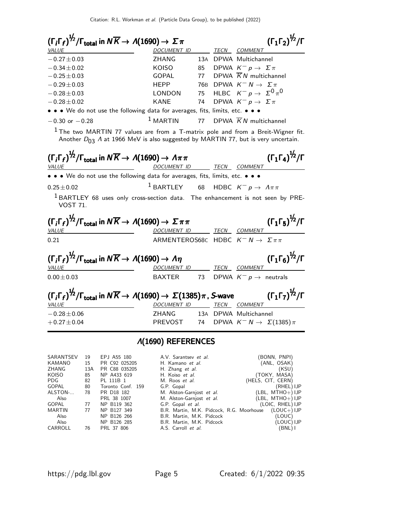$(\Gamma_j \Gamma_f)^{\frac{1}{2}}$ /Γ<sub>total</sub> in  $N \overline{K} \to \Lambda(1690) \to \Sigma \pi$  (Γ<sub>1</sub>Γ<sub>2</sub>)<sup>1/2</sup>/Γ  $(\Gamma_1 \Gamma_2)^{\frac{1}{2}}$ /I VALUE **A COMMENT ID** TECN COMMENT −0.27±0.03 ZHANG 13<sup>A</sup> DPWA Multichannel  $-0.34 \pm 0.02$  KOISO 85 DPWA  $K^- p \rightarrow \Sigma \pi$  $-0.25 \pm 0.03$  GOPAL 77 DPWA  $\overline{K}N$  multichannel  $-0.29\pm0.03$  HEPP 76B DPWA  $K^- N \rightarrow \Sigma \pi$  $-0.28 \pm 0.03$  LONDON 75 HLBC  $K^- p \rightarrow \Sigma^0 \pi^0$ <sup>−</sup>0.28±0.02 KANE 74 DPWA <sup>K</sup><sup>−</sup> <sup>p</sup> <sup>→</sup> <sup>Σ</sup> <sup>π</sup> • • • We do not use the following data for averages, fits, limits, etc. • • •  $-0.30$  or  $-0.28$  1 MARTIN 77 DPWA  $\overline{K}N$  multichannel  $1$  The two MARTIN 77 values are from a T-matrix pole and from a Breit-Wigner fit. Another  $D_{03}$  A at 1966 MeV is also suggested by MARTIN 77, but is very uncertain.  $(\Gamma_j \Gamma_f)^{\frac{1}{2}} / \Gamma_{\text{total}}$  in  $N \overline{K} \to \Lambda(1690) \to \Lambda \pi \pi$  (Γ<sub>1</sub>Γ<sub>4</sub>)<sup>1/2</sup>/Γ  $(\Gamma_1 \Gamma_4)^{\frac{1}{2}} / \Gamma$ DOCUMENT ID TECN COMMENT • • We do not use the following data for averages, fits, limits, etc. •  $0.25\pm0.02$  1 BARTLEY 68 HDBC  $K^- p \to \Lambda \pi \pi$  $1$  BARTLEY 68 uses only cross-section data. The enhancement is not seen by PRE-VOST 71.  $(\Gamma_j\Gamma_f)^{\frac{1}{2}}/\Gamma_\mathsf{total}$  in  $N\overline{K}\to\Lambda(1690)\to\Sigma\pi\pi$  (Γ1Γ5) $^{1\!\!2}/\Gamma$  $(\Gamma_1 \Gamma_5)^{\frac{1}{2}} / \Gamma$ VALUE MERINDER DOCUMENT ID TECN COMMENT 0.21 ARMENTEROS68C HDBC  $K^- N \rightarrow \Sigma \pi \pi$  $(\Gamma_i\Gamma_f)^{\frac{1}{2}}/\Gamma_{\text{total}}$  in  $N\overline{K}\to \Lambda(1690)\to \Lambda\eta$  (Γ1Γ<sub>6</sub>)<sup>1/2</sup>/Γ  $(\Gamma_1 \Gamma_6)^{\frac{1}{2}}$ / $\Gamma$ VALUE DOCUMENT ID TECN COMMENT  $0.00 \pm 0.03$  BAXTER 73 DPWA  $K^- p \rightarrow$  neutrals  $\left(\Gamma_i\Gamma_f\right)^{\not\!2}/\Gamma_{\rm total}$  in  $N\overline{K}\to\Lambda(1690)\to\,\Sigma(1385)\pi$  , S-wave  $\left(\Gamma_1\Gamma_7\right)^{\not\!2}/\Gamma$  $(\Gamma_1 \Gamma_7)^{\frac{1}{2}}$ / $\Gamma$ VALUE **DOCUMENT ID** TECN COMMENT −0.28±0.06 ZHANG 13<sup>A</sup> DPWA Multichannel  $+0.27\pm0.04$  PREVOST 74 DPWA  $K^- N \rightarrow \Sigma(1385)\pi$ Λ(1690) REFERENCES

| SARANTSEV | 19  | EPJ A55 180       | A.V. Sarantsev et al.                     | BONN, PNPI)          |
|-----------|-----|-------------------|-------------------------------------------|----------------------|
| KAMANO    | 15  | PR C92 025205     | H. Kamano et al.                          | (ANL, OSAK)          |
| ZHANG     | 13A | PR C88 035205     | H. Zhang et al.                           | (KSU)                |
| KOISO     | 85  | NP A433 619       | H. Koiso et al.                           | (TOKY, MASA)         |
| PDG       | 82  | PL 111B 1         | M. Roos et al.                            | (HELS, CIT, CERN)    |
| GOPAL     | 80  | Toronto Conf. 159 | G.P. Gopal                                | (RHEL) IJP           |
| ALSTON-   | 78  | PR D18 182        | M. Alston-Garnjost et al.                 | $(LBL, MTHO+)$ IJP   |
| Also      |     | PRL 38 1007       | M. Alston-Garnjost et al.                 | $( LBL, MTHO+ ) IJP$ |
| GOPAL     | 77  | NP B119 362       | G.P. Gopal et al.                         | (LOIC, RHEL) IJP     |
| MARTIN    | 77  | NP B127 349       | B.R. Martin, M.K. Pidcock, R.G. Moorhouse | $(LOUC+) IJP$        |
| Also      |     | NP B126 266       | B.R. Martin, M.K. Pidcock                 | (LOUC).              |
| Also      |     | NP B126 285       | B.R. Martin, M.K. Pidcock                 | (LOUC) IJP           |
| CARROLL   | 76  | PRL 37 806        | A.S. Carroll et al.                       | (BNL) I              |
|           |     |                   |                                           |                      |